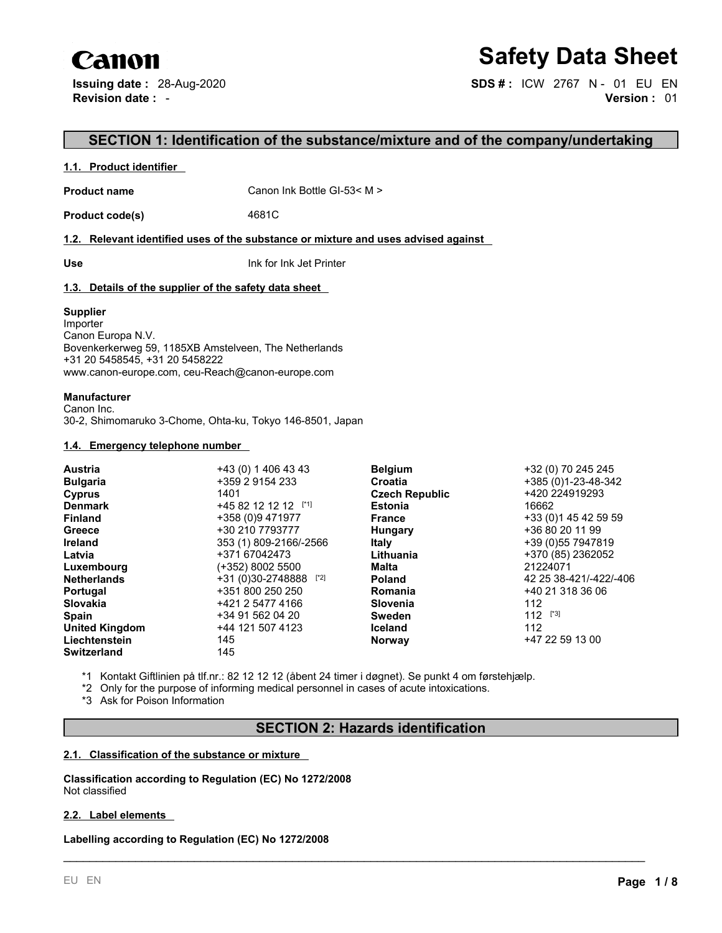# Canon

# **Safety Data Sheet**

**Issuing date :** 28-Aug-2020 **SDS # :** ICW 2767 N - 01 EU EN **Revision date :** - **Version :** 01

# **SECTION 1: Identification of the substance/mixture and of the company/undertaking**

## **1.1. Product identifier**

**Product name** Canon Ink Bottle GI-53< M >

**Product code(s)** 4681C

## **1.2. Relevant identified uses of the substance or mixture and uses advised against**

**Use** Ink for Ink Jet Printer

# **1.3. Details of the supplier of the safety data sheet**

## **Supplier**

Importer Canon Europa N.V. Bovenkerkerweg 59, 1185XB Amstelveen, The Netherlands +31 20 5458545, +31 20 5458222 www.canon-europe.com, ceu-Reach@canon-europe.com

# **Manufacturer**

Canon Inc. 30-2, Shimomaruko 3-Chome, Ohta-ku, Tokyo 146-8501, Japan

## **1.4. Emergency telephone number**

|                         |                     | +32 (0) 70 245 245                      |
|-------------------------|---------------------|-----------------------------------------|
| +359 2 9154 233         | Croatia             | +385 (0)1-23-48-342                     |
| 1401                    |                     | +420 224919293                          |
| $+4582121212$           | <b>Estonia</b>      | 16662                                   |
| +358 (0)9 471977        | <b>France</b>       | +33 (0) 145 42 59 59                    |
| +30 210 7793777         | Hungary             | +36 80 20 11 99                         |
| 353 (1) 809-2166/-2566  | <b>Italy</b>        | +39 (0) 55 7947819                      |
| +371 67042473           | Lithuania           | +370 (85) 2362052                       |
| (+352) 8002 5500        | Malta               | 21224071                                |
| $+31(0)30-2748888$ [*2] | <b>Poland</b>       | 42 25 38-421/-422/-406                  |
| +351 800 250 250        | Romania             | +40 21 318 36 06                        |
| +421 2 5477 4166        | Slovenia            | 112                                     |
| +34 91 562 04 20        | <b>Sweden</b>       | $112$ [*3]                              |
| +44 121 507 4123        | <b>Iceland</b>      | 112                                     |
| 145                     | <b>Norway</b>       | +47 22 59 13 00                         |
| 145                     |                     |                                         |
|                         | +43 (0) 1 406 43 43 | <b>Belgium</b><br><b>Czech Republic</b> |

\*1 Kontakt Giftlinien på tlf.nr.: 82 12 12 12 (åbent 24 timer i døgnet). Se punkt 4 om førstehjælp.

\*2 Only for the purpose of informing medical personnel in cases of acute intoxications.

\*3 Ask for Poison Information

# **SECTION 2: Hazards identification**

\_\_\_\_\_\_\_\_\_\_\_\_\_\_\_\_\_\_\_\_\_\_\_\_\_\_\_\_\_\_\_\_\_\_\_\_\_\_\_\_\_\_\_\_\_\_\_\_\_\_\_\_\_\_\_\_\_\_\_\_\_\_\_\_\_\_\_\_\_\_\_\_\_\_\_\_\_\_\_\_\_\_\_\_\_\_\_\_\_

#### **2.1. Classification of the substance or mixture**

**Classification according to Regulation (EC) No 1272/2008** Not classified

## **2.2. Label elements**

**Labelling according to Regulation (EC) No 1272/2008**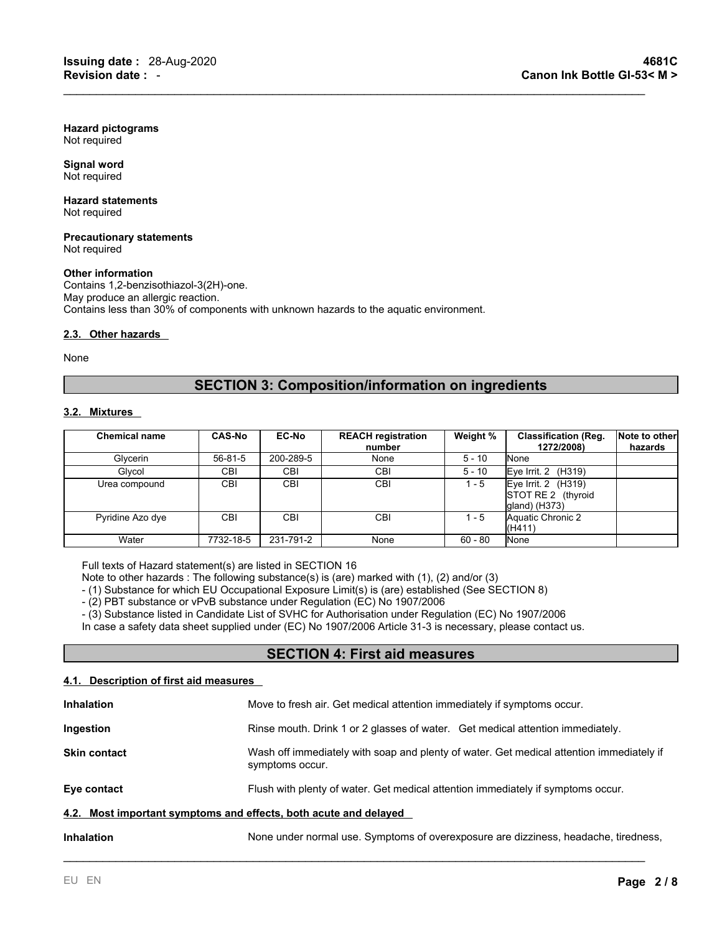**Hazard pictograms** Not required

**Signal word** Not required

**Hazard statements** Not required

**Precautionary statements** Not required

#### **Other information**

Contains 1,2-benzisothiazol-3(2H)-one. May produce an allergic reaction. Contains less than 30% of components with unknown hazards to the aquatic environment.

#### **2.3. Other hazards**

None

# **SECTION 3: Composition/information on ingredients**

 $\mathcal{L}_\mathcal{L} = \mathcal{L}_\mathcal{L} = \mathcal{L}_\mathcal{L} = \mathcal{L}_\mathcal{L} = \mathcal{L}_\mathcal{L} = \mathcal{L}_\mathcal{L} = \mathcal{L}_\mathcal{L} = \mathcal{L}_\mathcal{L} = \mathcal{L}_\mathcal{L} = \mathcal{L}_\mathcal{L} = \mathcal{L}_\mathcal{L} = \mathcal{L}_\mathcal{L} = \mathcal{L}_\mathcal{L} = \mathcal{L}_\mathcal{L} = \mathcal{L}_\mathcal{L} = \mathcal{L}_\mathcal{L} = \mathcal{L}_\mathcal{L}$ 

## **3.2. Mixtures**

| <b>Chemical name</b> | <b>CAS-No</b> | <b>EC-No</b> | <b>REACH registration</b><br>number | Weight %  | <b>Classification (Reg.</b><br>1272/2008)                      | Note to other<br>hazards |
|----------------------|---------------|--------------|-------------------------------------|-----------|----------------------------------------------------------------|--------------------------|
| Glvcerin             | 56-81-5       | 200-289-5    | None                                | $5 - 10$  | <b>N</b> one                                                   |                          |
| Glycol               | <b>CBI</b>    | <b>CBI</b>   | <b>CBI</b>                          | $5 - 10$  | Eye Irrit. $2$ (H319)                                          |                          |
| Urea compound        | CBI.          | <b>CBI</b>   | <b>CBI</b>                          | $1 - 5$   | Eye Irrit. $2$ (H319)<br>STOT RE 2 (thyroid<br>$q$ and) (H373) |                          |
| Pyridine Azo dye     | <b>CBI</b>    | <b>CBI</b>   | CBI                                 | $1 - 5$   | Aquatic Chronic 2<br>(H411)                                    |                          |
| Water                | 7732-18-5     | 231-791-2    | None                                | $60 - 80$ | <b>N</b> one                                                   |                          |

Full texts of Hazard statement(s) are listed in SECTION 16

Note to other hazards : The following substance(s) is (are) marked with (1), (2) and/or (3)

- (1) Substance for which EU Occupational Exposure Limit(s) is (are) established (See SECTION 8)

- (2) PBT substance or vPvB substance under Regulation (EC) No 1907/2006

- (3) Substance listed in Candidate List of SVHC for Authorisation under Regulation (EC) No 1907/2006

In case a safety data sheet supplied under (EC) No 1907/2006 Article 31-3 is necessary, please contact us.

# **SECTION 4: First aid measures**

## **4.1. Description of first aid measures**

| <b>Inhalation</b>                                                                                        | Move to fresh air. Get medical attention immediately if symptoms occur.                                     |  |  |
|----------------------------------------------------------------------------------------------------------|-------------------------------------------------------------------------------------------------------------|--|--|
| Ingestion                                                                                                | Rinse mouth. Drink 1 or 2 glasses of water. Get medical attention immediately.                              |  |  |
| <b>Skin contact</b>                                                                                      | Wash off immediately with soap and plenty of water. Get medical attention immediately if<br>symptoms occur. |  |  |
| Eye contact<br>Flush with plenty of water. Get medical attention immediately if symptoms occur.          |                                                                                                             |  |  |
| 4.2. Most important symptoms and effects, both acute and delayed                                         |                                                                                                             |  |  |
| None under normal use. Symptoms of overexposure are dizziness, headache, tiredness,<br><b>Inhalation</b> |                                                                                                             |  |  |

\_\_\_\_\_\_\_\_\_\_\_\_\_\_\_\_\_\_\_\_\_\_\_\_\_\_\_\_\_\_\_\_\_\_\_\_\_\_\_\_\_\_\_\_\_\_\_\_\_\_\_\_\_\_\_\_\_\_\_\_\_\_\_\_\_\_\_\_\_\_\_\_\_\_\_\_\_\_\_\_\_\_\_\_\_\_\_\_\_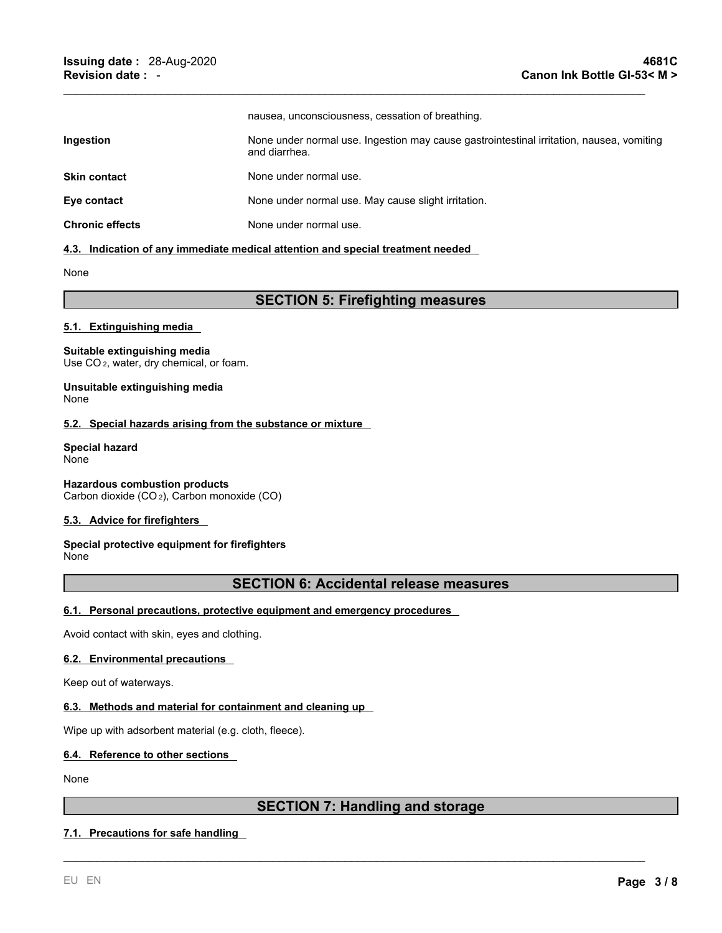|                        | nausea, unconsciousness, cessation of breathing.                                                          |
|------------------------|-----------------------------------------------------------------------------------------------------------|
| <b>Ingestion</b>       | None under normal use. Ingestion may cause gastrointestinal irritation, nausea, vomiting<br>and diarrhea. |
| <b>Skin contact</b>    | None under normal use.                                                                                    |
| Eye contact            | None under normal use. May cause slight irritation.                                                       |
| <b>Chronic effects</b> | None under normal use.                                                                                    |

 $\mathcal{L}_\mathcal{L} = \mathcal{L}_\mathcal{L} = \mathcal{L}_\mathcal{L} = \mathcal{L}_\mathcal{L} = \mathcal{L}_\mathcal{L} = \mathcal{L}_\mathcal{L} = \mathcal{L}_\mathcal{L} = \mathcal{L}_\mathcal{L} = \mathcal{L}_\mathcal{L} = \mathcal{L}_\mathcal{L} = \mathcal{L}_\mathcal{L} = \mathcal{L}_\mathcal{L} = \mathcal{L}_\mathcal{L} = \mathcal{L}_\mathcal{L} = \mathcal{L}_\mathcal{L} = \mathcal{L}_\mathcal{L} = \mathcal{L}_\mathcal{L}$ 

#### **4.3. Indication of any immediate medical attention and special treatment needed**

None

# **SECTION 5: Firefighting measures**

## **5.1. Extinguishing media**

#### **Suitable extinguishing media**

Use CO<sub>2</sub>, water, dry chemical, or foam.

**Unsuitable extinguishing media** None

## **5.2. Special hazards arising from the substance or mixture**

**Special hazard** None

**Hazardous combustion products** Carbon dioxide (CO <sup>2</sup>), Carbon monoxide (CO)

#### **5.3. Advice for firefighters**

# **Special protective equipment for firefighters**

None

# **SECTION 6: Accidental release measures**

# **6.1. Personal precautions, protective equipment and emergency procedures**

Avoid contact with skin, eyes and clothing.

#### **6.2. Environmental precautions**

Keep out of waterways.

# **6.3. Methods and material for containment and cleaning up**

Wipe up with adsorbent material (e.g. cloth, fleece).

#### **6.4. Reference to other sections**

None

# **SECTION 7: Handling and storage**

\_\_\_\_\_\_\_\_\_\_\_\_\_\_\_\_\_\_\_\_\_\_\_\_\_\_\_\_\_\_\_\_\_\_\_\_\_\_\_\_\_\_\_\_\_\_\_\_\_\_\_\_\_\_\_\_\_\_\_\_\_\_\_\_\_\_\_\_\_\_\_\_\_\_\_\_\_\_\_\_\_\_\_\_\_\_\_\_\_

# **7.1. Precautions for safe handling**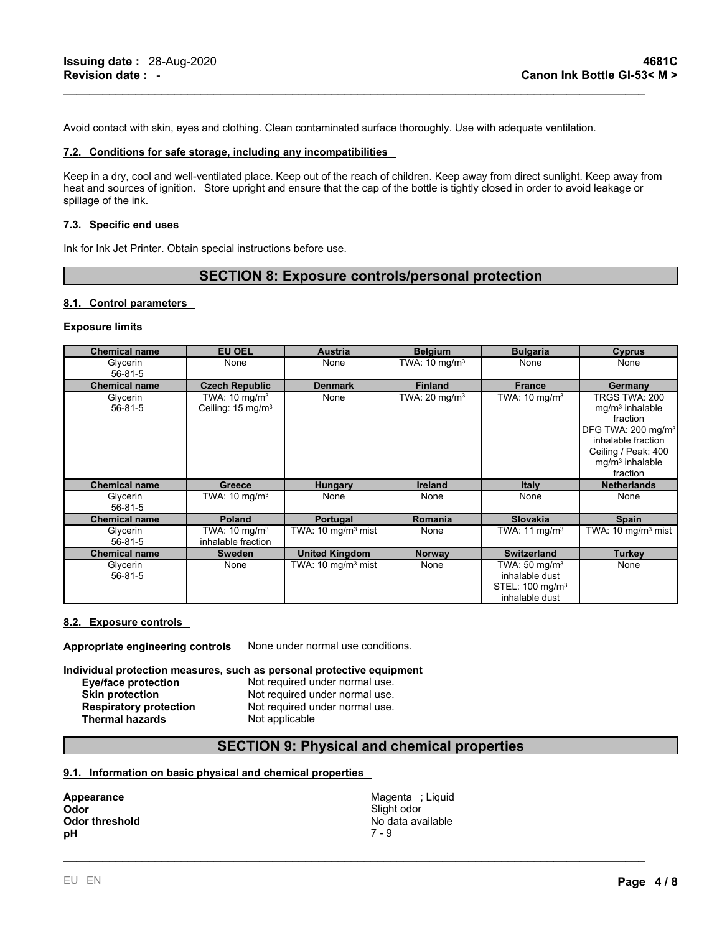Avoid contact with skin, eyes and clothing. Clean contaminated surface thoroughly. Use with adequate ventilation.

#### **7.2. Conditions for safe storage, including any incompatibilities**

Keep in a dry, cool and well-ventilated place. Keep out of the reach of children. Keep away from direct sunlight. Keep away from heat and sources of ignition. Store upright and ensure that the cap of the bottle is tightly closed in order to avoid leakage or spillage of the ink.

 $\mathcal{L}_\mathcal{L} = \mathcal{L}_\mathcal{L} = \mathcal{L}_\mathcal{L} = \mathcal{L}_\mathcal{L} = \mathcal{L}_\mathcal{L} = \mathcal{L}_\mathcal{L} = \mathcal{L}_\mathcal{L} = \mathcal{L}_\mathcal{L} = \mathcal{L}_\mathcal{L} = \mathcal{L}_\mathcal{L} = \mathcal{L}_\mathcal{L} = \mathcal{L}_\mathcal{L} = \mathcal{L}_\mathcal{L} = \mathcal{L}_\mathcal{L} = \mathcal{L}_\mathcal{L} = \mathcal{L}_\mathcal{L} = \mathcal{L}_\mathcal{L}$ 

#### **7.3. Specific end uses**

Ink for Ink Jet Printer. Obtain special instructions before use.

# **SECTION 8: Exposure controls/personal protection**

#### **8.1. Control parameters**

#### **Exposure limits**

| <b>Chemical name</b> | <b>EU OEL</b>                                             | <b>Austria</b>                | <b>Belgium</b>           | <b>Bulgaria</b>                                                                             | <b>Cyprus</b>                                                                                                                                                  |
|----------------------|-----------------------------------------------------------|-------------------------------|--------------------------|---------------------------------------------------------------------------------------------|----------------------------------------------------------------------------------------------------------------------------------------------------------------|
| Glycerin<br>56-81-5  | None                                                      | None                          | TWA: $10 \text{ mg/m}^3$ | None                                                                                        | None                                                                                                                                                           |
| <b>Chemical name</b> | <b>Czech Republic</b>                                     | <b>Denmark</b>                | <b>Finland</b>           | <b>France</b>                                                                               | Germany                                                                                                                                                        |
| Glycerin<br>56-81-5  | TWA: $10 \text{ mg/m}^3$<br>Ceiling: 15 mg/m <sup>3</sup> | None                          | TWA: $20 \text{ mg/m}^3$ | TWA: $10 \text{ mg/m}^3$                                                                    | TRGS TWA: 200<br>$mq/m3$ inhalable<br>fraction<br>DFG TWA: 200 mg/m <sup>3</sup><br>inhalable fraction<br>Ceiling / Peak: 400<br>$mq/m3$ inhalable<br>fraction |
| <b>Chemical name</b> | Greece                                                    | <b>Hungary</b>                | Ireland                  | <b>Italy</b>                                                                                | <b>Netherlands</b>                                                                                                                                             |
| Glycerin<br>56-81-5  | TWA: $10 \text{ mg/m}^3$                                  | None                          | None                     | None                                                                                        | None                                                                                                                                                           |
| <b>Chemical name</b> | <b>Poland</b>                                             | Portugal                      | <b>Romania</b>           | <b>Slovakia</b>                                                                             | Spain                                                                                                                                                          |
| Glycerin<br>56-81-5  | TWA: $10 \text{ mg/m}^3$<br>inhalable fraction            | TWA: $10 \text{ mg/m}^3$ mist | None                     | TWA: $11 \text{ mg/m}^3$                                                                    | TWA: 10 mg/m <sup>3</sup> mist                                                                                                                                 |
| <b>Chemical name</b> | Sweden                                                    | <b>United Kingdom</b>         | <b>Norway</b>            | <b>Switzerland</b>                                                                          | Turkey                                                                                                                                                         |
| Glycerin<br>56-81-5  | None                                                      | TWA: $10 \text{ mg/m}^3$ mist | None                     | TWA: $50 \text{ mg/m}^3$<br>inhalable dust<br>STEL: 100 mg/m <sup>3</sup><br>inhalable dust | None                                                                                                                                                           |

#### **8.2. Exposure controls**

**Appropriate engineering controls** None under normal use conditions.

**Individual protection measures, such as personal protective equipment**

| Eye/face protection           | Not required under normal use. |
|-------------------------------|--------------------------------|
| <b>Skin protection</b>        | Not required under normal use. |
| <b>Respiratory protection</b> | Not required under normal use. |
| <b>Thermal hazards</b>        | Not applicable                 |

<sup>ed</sup> under normal use. **d** under normal use. **Respirator protection** use.

# **SECTION 9: Physical and chemical properties**

#### **9.1. Information on basic physical and chemical properties**

**Appearance Magenta ; Liquid Contract Contract Contract Contract Contract Contract Contract Contract Contract Contract Contract Contract Contract Contract Contract Contract Contract Contract Contract Contract Contract Co Odor** Slight odor **Odor threshold** No data available No data available **pH** 7 - 9

\_\_\_\_\_\_\_\_\_\_\_\_\_\_\_\_\_\_\_\_\_\_\_\_\_\_\_\_\_\_\_\_\_\_\_\_\_\_\_\_\_\_\_\_\_\_\_\_\_\_\_\_\_\_\_\_\_\_\_\_\_\_\_\_\_\_\_\_\_\_\_\_\_\_\_\_\_\_\_\_\_\_\_\_\_\_\_\_\_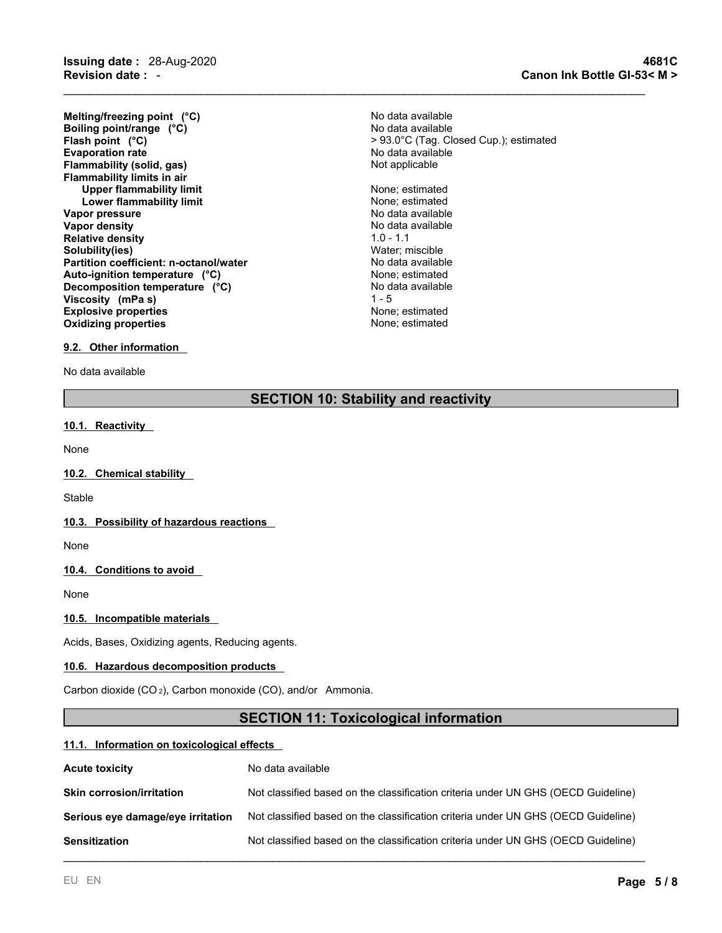**Revision date :** - **Canon Ink Bottle GI-53< M >**

**Evaporation rate rate**  $\overline{a}$  **rate**  $\overline{b}$  **No data available Flammability** (solid, gas) Not applicable **Flammability limits in air Upper flammability limit** None; estimated **Lower flammability limit**<br> **Example 20 or pressure**<br> **No data available Vapor pressure<br>Vapor density Relative density** 1.0 - 1.1 **Solubility(ies)** Water; miscible **Partition coefficient: n-octanol/water** No data available<br> **Auto-ignition temperature** (°C) **Nonetianal State Auto-ignition temperature** (°C) **Explosive properties** None; estimated **Oxidizing properties** None; estimated **Melting/freezing point (°C)**<br> **Boiling point/range (°C)**<br> **Boiling point/range (°C) Boiling point/range (°C)**<br>Flash point (°C) **Auto-ignition temperature (°C)** None; estimated **Decomposition temperature** (°C) **Viscosity** (mPa s) 1 - 5

**Flash point (°C)**> 93.0°C (Tag. Closed Cup.); estimated

**No data available** 

 $\mathcal{L}_\mathcal{L} = \mathcal{L}_\mathcal{L} = \mathcal{L}_\mathcal{L} = \mathcal{L}_\mathcal{L} = \mathcal{L}_\mathcal{L} = \mathcal{L}_\mathcal{L} = \mathcal{L}_\mathcal{L} = \mathcal{L}_\mathcal{L} = \mathcal{L}_\mathcal{L} = \mathcal{L}_\mathcal{L} = \mathcal{L}_\mathcal{L} = \mathcal{L}_\mathcal{L} = \mathcal{L}_\mathcal{L} = \mathcal{L}_\mathcal{L} = \mathcal{L}_\mathcal{L} = \mathcal{L}_\mathcal{L} = \mathcal{L}_\mathcal{L}$ 

#### **9.2. Other information**

No data available

# **SECTION 10: Stability and reactivity**

#### **10.1. Reactivity**

None

#### **10.2. Chemical stability**

**Stable** 

#### **10.3. Possibility of hazardous reactions**

None

### **10.4. Conditions to avoid**

None

#### **10.5. Incompatible materials**

Acids, Bases, Oxidizing agents, Reducing agents.

#### **10.6. Hazardous decomposition products**

Carbon dioxide (CO <sup>2</sup>), Carbon monoxide (CO), and/or Ammonia.

# **SECTION 11: Toxicological information**

#### **11.1. Information on toxicological effects**

| <b>Acute toxicity</b>             | No data available                                                                 |
|-----------------------------------|-----------------------------------------------------------------------------------|
| <b>Skin corrosion/irritation</b>  | Not classified based on the classification criteria under UN GHS (OECD Guideline) |
| Serious eye damage/eye irritation | Not classified based on the classification criteria under UN GHS (OECD Guideline) |
| <b>Sensitization</b>              | Not classified based on the classification criteria under UN GHS (OECD Guideline) |
|                                   |                                                                                   |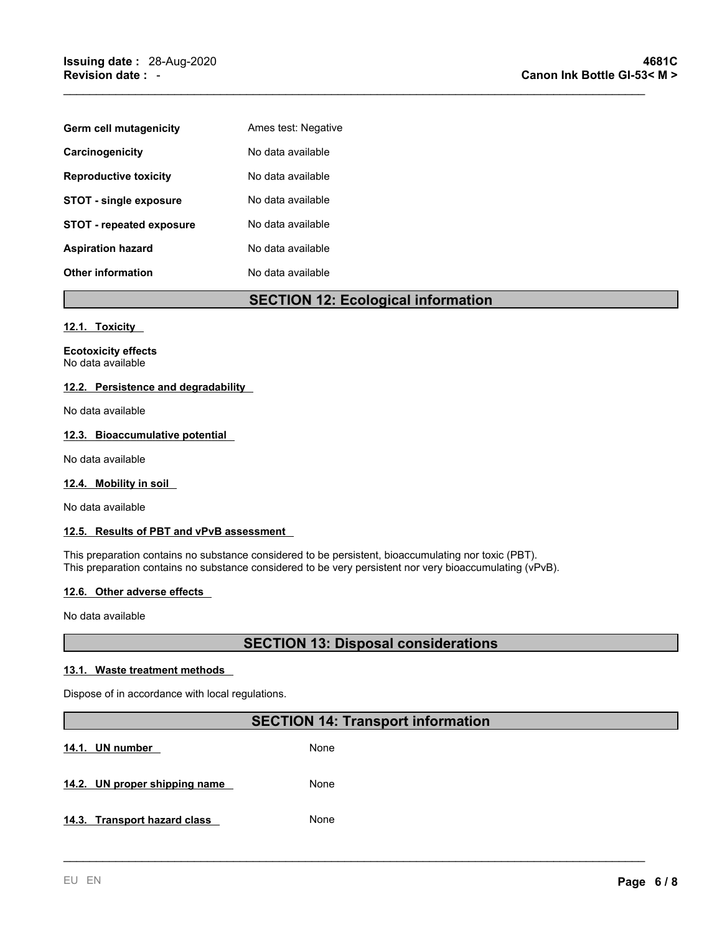| Germ cell mutagenicity          | Ames test: Negative |
|---------------------------------|---------------------|
| Carcinogenicity                 | No data available   |
| <b>Reproductive toxicity</b>    | No data available   |
| <b>STOT - single exposure</b>   | No data available   |
| <b>STOT - repeated exposure</b> | No data available   |
| <b>Aspiration hazard</b>        | No data available   |
| <b>Other information</b>        | No data available   |

# **SECTION 12: Ecological information**

 $\mathcal{L}_\mathcal{L} = \mathcal{L}_\mathcal{L} = \mathcal{L}_\mathcal{L} = \mathcal{L}_\mathcal{L} = \mathcal{L}_\mathcal{L} = \mathcal{L}_\mathcal{L} = \mathcal{L}_\mathcal{L} = \mathcal{L}_\mathcal{L} = \mathcal{L}_\mathcal{L} = \mathcal{L}_\mathcal{L} = \mathcal{L}_\mathcal{L} = \mathcal{L}_\mathcal{L} = \mathcal{L}_\mathcal{L} = \mathcal{L}_\mathcal{L} = \mathcal{L}_\mathcal{L} = \mathcal{L}_\mathcal{L} = \mathcal{L}_\mathcal{L}$ 

#### **12.1. Toxicity**

**Ecotoxicity effects** No data available

# **12.2. Persistence and degradability**

No data available

## **12.3. Bioaccumulative potential**

No data available

## **12.4. Mobility in soil**

No data available

## **12.5. Results of PBT and vPvB assessment**

This preparation contains no substance considered to be persistent, bioaccumulating nor toxic (PBT). This preparation contains no substance considered to be very persistent nor very bioaccumulating (vPvB).

#### **12.6. Other adverse effects**

No data available

# **SECTION 13: Disposal considerations**

### **13.1. Waste treatment methods**

Dispose of in accordance with local regulations.

# **SECTION 14: Transport information**

\_\_\_\_\_\_\_\_\_\_\_\_\_\_\_\_\_\_\_\_\_\_\_\_\_\_\_\_\_\_\_\_\_\_\_\_\_\_\_\_\_\_\_\_\_\_\_\_\_\_\_\_\_\_\_\_\_\_\_\_\_\_\_\_\_\_\_\_\_\_\_\_\_\_\_\_\_\_\_\_\_\_\_\_\_\_\_\_\_

14.1. **UN** number None

**14.2. UN proper shipping name** None

**14.3. Transport hazard class** None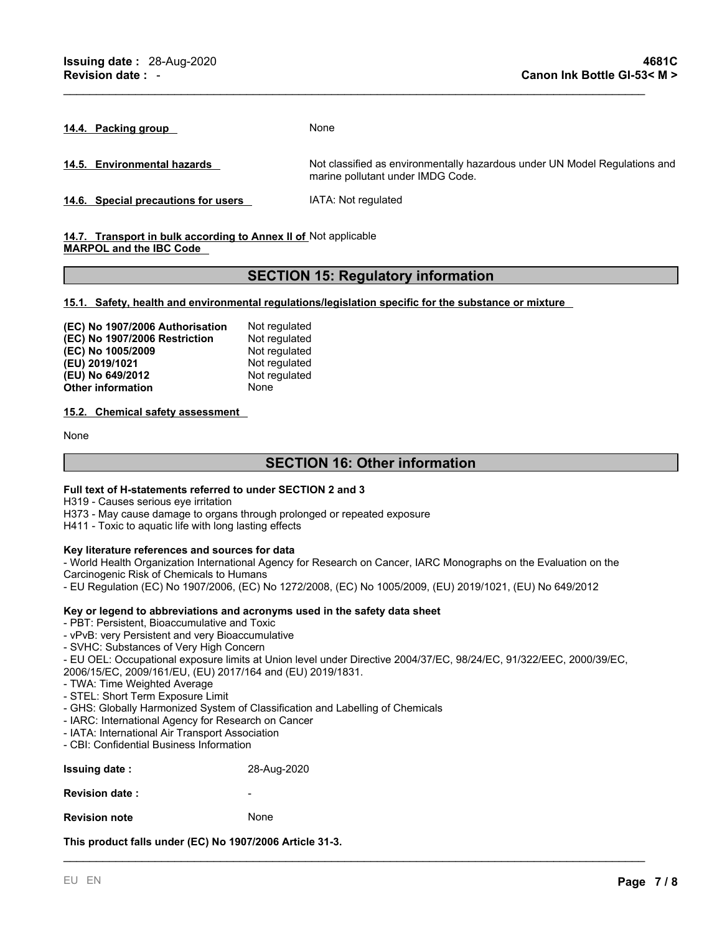**14.4. Packing group** None

**14.5. Environmental hazards** Not classified as environmentally hazardous under UN Model Regulations and marine pollutant under IMDG Code.

**14.6. Special precautions for users** IATA: Not regulated

**14.7. Transport in bulk according to Annex II of** Not applicable **MARPOL and the IBC Code**

# **SECTION 15: Regulatory information**

 $\mathcal{L}_\mathcal{L} = \mathcal{L}_\mathcal{L} = \mathcal{L}_\mathcal{L} = \mathcal{L}_\mathcal{L} = \mathcal{L}_\mathcal{L} = \mathcal{L}_\mathcal{L} = \mathcal{L}_\mathcal{L} = \mathcal{L}_\mathcal{L} = \mathcal{L}_\mathcal{L} = \mathcal{L}_\mathcal{L} = \mathcal{L}_\mathcal{L} = \mathcal{L}_\mathcal{L} = \mathcal{L}_\mathcal{L} = \mathcal{L}_\mathcal{L} = \mathcal{L}_\mathcal{L} = \mathcal{L}_\mathcal{L} = \mathcal{L}_\mathcal{L}$ 

**15.1. Safety, health and environmental regulations/legislation specific for the substance or mixture**

| (EC) No 1907/2006 Authorisation | Not regulated |
|---------------------------------|---------------|
| (EC) No 1907/2006 Restriction   | Not regulated |
| (EC) No 1005/2009               | Not regulated |
| (EU) 2019/1021                  | Not regulated |
| (EU) No 649/2012                | Not regulated |
| <b>Other information</b>        | None          |

**15.2. Chemical safety assessment**

None

# **SECTION 16: Other information**

#### **Full text of H-statements referred to underSECTION 2 and 3**

H319 - Causes serious eye irritation

H373 - May cause damage to organs through prolonged or repeated exposure

H411 - Toxic to aquatic life with long lasting effects

#### **Key literature references and sources for data**

- World Health Organization International Agency for Research on Cancer, IARC Monographs on the Evaluation on the Carcinogenic Risk of Chemicals to Humans

- EU Regulation (EC) No 1907/2006, (EC) No 1272/2008, (EC) No 1005/2009, (EU) 2019/1021, (EU) No 649/2012

#### **Key or legend to abbreviations and acronyms used in the safety data sheet**

- PBT: Persistent, Bioaccumulative and Toxic

- vPvB: very Persistent and very Bioaccumulative

- SVHC: Substances of Very High Concern

- EU OEL: Occupational exposure limits at Union level under Directive 2004/37/EC, 98/24/EC, 91/322/EEC, 2000/39/EC, 2006/15/EC, 2009/161/EU, (EU) 2017/164 and (EU) 2019/1831.

\_\_\_\_\_\_\_\_\_\_\_\_\_\_\_\_\_\_\_\_\_\_\_\_\_\_\_\_\_\_\_\_\_\_\_\_\_\_\_\_\_\_\_\_\_\_\_\_\_\_\_\_\_\_\_\_\_\_\_\_\_\_\_\_\_\_\_\_\_\_\_\_\_\_\_\_\_\_\_\_\_\_\_\_\_\_\_\_\_

- TWA: Time Weighted Average
- STEL: Short Term Exposure Limit
- GHS: Globally Harmonized System of Classification and Labelling of Chemicals
- IARC: International Agency for Research on Cancer
- IATA: International Air Transport Association
- CBI: Confidential Business Information

| <b>Issuing date:</b>   | 28-Aug-2020              |
|------------------------|--------------------------|
| <b>Revision date :</b> | $\overline{\phantom{a}}$ |

**Revision note** None

**This product falls under (EC) No 1907/2006 Article 31-3.**